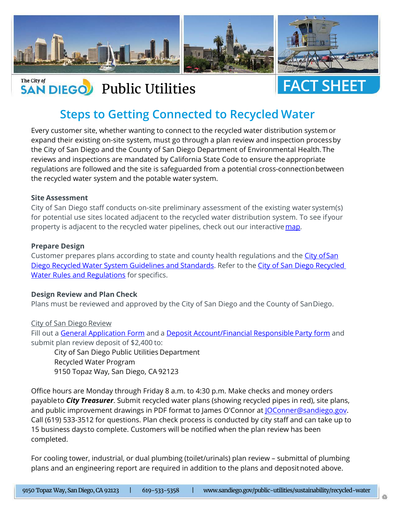

## The City of The City of The City of Text of Text of Text of Text of Text of Text of Text of Text of Text of Text of Text of Text of Text of Text of Text of Text of Text of Text of Text of Text of Text of Text of Text of Text of Text o



# **Steps to Getting Connected to Recycled Water**

Every customer site, whether wanting to connect to the recycled water distribution system or expand their existing on-site system, must go through a plan review and inspection process by the City of San Diego and the County of San Diego Department of Environmental Health. The reviews and inspections are mandated by California State Code to ensure the appropriate regulations are followed and the site is safeguarded from a potential cross-connection between the recycled water system and the potable water system.

#### **Site Assessment**

City of San Diego staff conducts on-site preliminary assessment of the existing water system(s) for potential use sites located adjacent to the recycled water distribution system. To see if your property is adjacent to the recycled water pipelines, check out our interactive [map.](https://sandiego.maps.arcgis.com/apps/webappviewer/index.html?id=77a1fde4a3cc42229ea7db4c0d00ea05)

#### **Prepare Design**

Customer prepares plans according to state and county health regulations and the [City of San](https://www.sandiego.gov/public-utilities/permits-construction/construction-and-development/water)  [Diego Recycled Water System Guidelines and Standards.](https://www.sandiego.gov/public-utilities/permits-construction/construction-and-development/water) Refer to the City of San Diego Recycled [Water Rules and Regulations](https://www.sandiego.gov/sites/default/files/recycled_water_rules_and_regulations_june_2016_final.pdf) for specifics.

#### **Design Review and Plan Check**

Plans must be reviewed and approved by the City of San Diego and the County of San Diego.

#### City of San Diego Review

Fill out a [General Application Form](https://www.sandiego.gov/sites/default/files/legacy/development-services/pdf/industry/forms/ds3032.pdf) and a [Deposit Account/Financial Responsible Party form](https://www.sandiego.gov/sites/default/files/legacy/development-services/pdf/industry/forms/ds3242.pdf) and submit plan review deposit of \$2,400 to:

City of San Diego Public Utilities Department Recycled Water Program 9150 Topaz Way, San Diego, CA 92123

Office hours are Monday through Friday 8 a.m. to 4:30 p.m. Make checks and money orders payable to *City Treasurer*. Submit recycled water plans (showing recycled pipes in red), site plans, and public improvement drawings in PDF format to James O'Connor at JOConner@sandiego.gov. Call (619) 533-3512 for questions. Plan check process is conducted by city staff and can take up to 15 business days to complete. Customers will be notified when the plan review has been completed.

For cooling tower, industrial, or dual plumbing (toilet/urinals) plan review – submittal of plumbing plans and an engineering report are required in addition to the plans and depositnoted above.